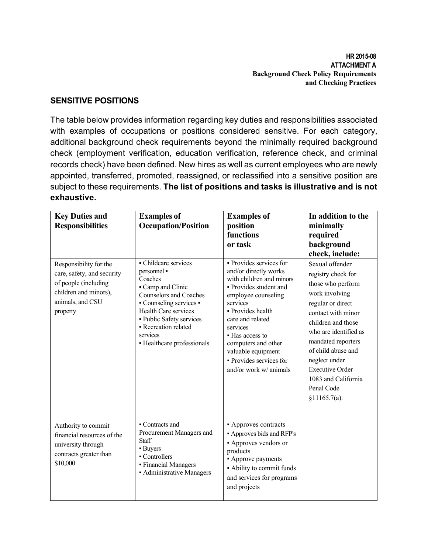**HR 2015-08 ATTACHMENT A Background Check Policy Requirements and Checking Practices** 

## **SENSITIVE POSITIONS**

The table below provides information regarding key duties and responsibilities associated with examples of occupations or positions considered sensitive. For each category, additional background check requirements beyond the minimally required background check (employment verification, education verification, reference check, and criminal records check) have been defined. New hires as well as current employees who are newly appointed, transferred, promoted, reassigned, or reclassified into a sensitive position are subject to these requirements. **The list of positions and tasks is illustrative and is not exhaustive.**

| <b>Key Duties and</b><br><b>Responsibilities</b>                                                                                      | <b>Examples of</b><br><b>Occupation/Position</b>                                                                                                                                                                                                           | <b>Examples of</b><br>position<br>functions<br>or task                                                                                                                                                                                                                                                              | In addition to the<br>minimally<br>required<br>background<br>check, include:                                                                                                                                                                                                                                       |
|---------------------------------------------------------------------------------------------------------------------------------------|------------------------------------------------------------------------------------------------------------------------------------------------------------------------------------------------------------------------------------------------------------|---------------------------------------------------------------------------------------------------------------------------------------------------------------------------------------------------------------------------------------------------------------------------------------------------------------------|--------------------------------------------------------------------------------------------------------------------------------------------------------------------------------------------------------------------------------------------------------------------------------------------------------------------|
| Responsibility for the<br>care, safety, and security<br>of people (including<br>children and minors),<br>animals, and CSU<br>property | - Childcare services<br>personnel •<br>Coaches<br>Camp and Clinic<br><b>Counselors and Coaches</b><br>• Counseling services •<br><b>Health Care services</b><br>· Public Safety services<br>• Recreation related<br>services<br>• Healthcare professionals | • Provides services for<br>and/or directly works<br>with children and minors<br>• Provides student and<br>employee counseling<br>services<br>- Provides health<br>care and related<br>services<br>• Has access to<br>computers and other<br>valuable equipment<br>• Provides services for<br>and/or work w/ animals | Sexual offender<br>registry check for<br>those who perform<br>work involving<br>regular or direct<br>contact with minor<br>children and those<br>who are identified as<br>mandated reporters<br>of child abuse and<br>neglect under<br><b>Executive Order</b><br>1083 and California<br>Penal Code<br>§11165.7(a). |
| Authority to commit<br>financial resources of the<br>university through<br>contracts greater than<br>\$10,000                         | • Contracts and<br>Procurement Managers and<br><b>Staff</b><br>• Buyers<br>• Controllers<br>• Financial Managers<br>• Administrative Managers                                                                                                              | • Approves contracts<br><b>- Approves bids and RFP's</b><br>• Approves vendors or<br>products<br>• Approve payments<br>• Ability to commit funds<br>and services for programs<br>and projects                                                                                                                       |                                                                                                                                                                                                                                                                                                                    |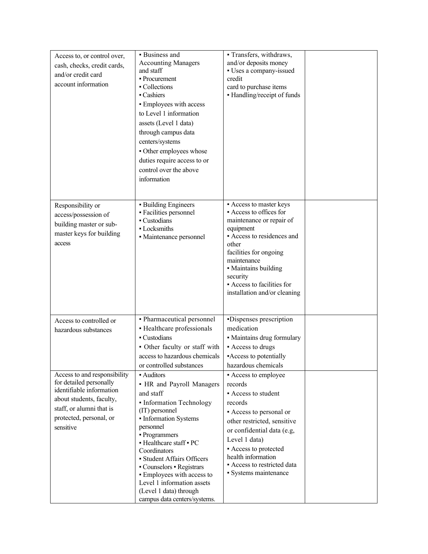| Access to, or control over,<br>cash, checks, credit cards,<br>and/or credit card<br>account information                                                                                                                                | • Business and<br><b>Accounting Managers</b><br>and staff<br>• Procurement<br>• Collections<br>- Cashiers<br>• Employees with access<br>to Level 1 information<br>assets (Level 1 data)<br>through campus data<br>centers/systems<br>• Other employees whose<br>duties require access to or<br>control over the above<br>information                                                                                                                                                                  | · Transfers, withdraws,<br>and/or deposits money<br>· Uses a company-issued<br>credit<br>card to purchase items<br>· Handling/receipt of funds                                                                                                                                                                                                                                                                               |  |
|----------------------------------------------------------------------------------------------------------------------------------------------------------------------------------------------------------------------------------------|-------------------------------------------------------------------------------------------------------------------------------------------------------------------------------------------------------------------------------------------------------------------------------------------------------------------------------------------------------------------------------------------------------------------------------------------------------------------------------------------------------|------------------------------------------------------------------------------------------------------------------------------------------------------------------------------------------------------------------------------------------------------------------------------------------------------------------------------------------------------------------------------------------------------------------------------|--|
| Responsibility or<br>access/possession of<br>building master or sub-<br>master keys for building<br>access                                                                                                                             | <b>Building Engineers</b><br>• Facilities personnel<br>• Custodians<br>· Locksmiths<br>• Maintenance personnel                                                                                                                                                                                                                                                                                                                                                                                        | • Access to master keys<br>Access to offices for<br>maintenance or repair of<br>equipment<br>Access to residences and<br>other<br>facilities for ongoing<br>maintenance<br>• Maintains building<br>security<br>- Access to facilities for<br>installation and/or cleaning                                                                                                                                                    |  |
| Access to controlled or<br>hazardous substances<br>Access to and responsibility<br>for detailed personally<br>identifiable information<br>about students, faculty,<br>staff, or alumni that is<br>protected, personal, or<br>sensitive | · Pharmaceutical personnel<br>• Healthcare professionals<br>- Custodians<br>• Other faculty or staff with<br>access to hazardous chemicals<br>or controlled substances<br>• Auditors<br>• HR and Payroll Managers<br>and staff<br>· Information Technology<br>(IT) personnel<br>• Information Systems<br>personnel<br>• Programmers<br>- Healthcare staff - PC<br>Coordinators<br>• Student Affairs Officers<br>• Counselors • Registrars<br>• Employees with access to<br>Level 1 information assets | -Dispenses prescription<br>medication<br>• Maintains drug formulary<br>- Access to drugs<br>-Access to potentially<br>hazardous chemicals<br>• Access to employee<br>records<br>• Access to student<br>records<br>• Access to personal or<br>other restricted, sensitive<br>or confidential data (e.g,<br>Level 1 data)<br>- Access to protected<br>health information<br>Access to restricted data<br>· Systems maintenance |  |
|                                                                                                                                                                                                                                        | (Level 1 data) through<br>campus data centers/systems.                                                                                                                                                                                                                                                                                                                                                                                                                                                |                                                                                                                                                                                                                                                                                                                                                                                                                              |  |